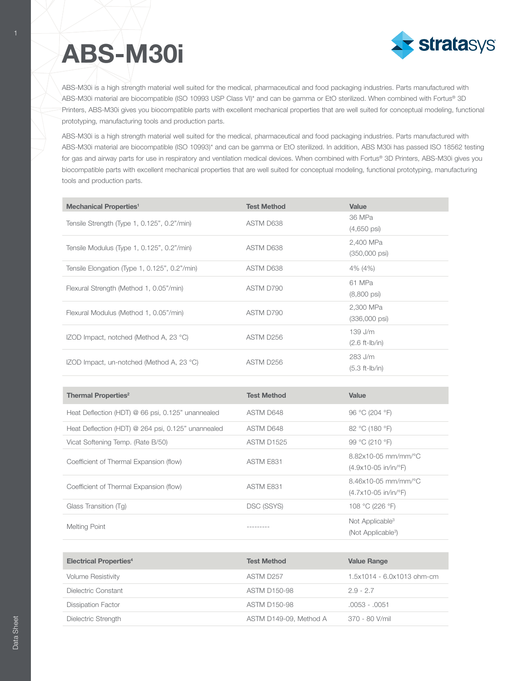## **ABS-M30i**



ABS-M30i is a high strength material well suited for the medical, pharmaceutical and food packaging industries. Parts manufactured with ABS-M30i material are biocompatible (ISO 10993 USP Class VI)\* and can be gamma or EtO sterilized. When combined with Fortus® 3D Printers, ABS-M30i gives you biocompatible parts with excellent mechanical properties that are well suited for conceptual modeling, functional prototyping, manufacturing tools and production parts.

ABS-M30i is a high strength material well suited for the medical, pharmaceutical and food packaging industries. Parts manufactured with ABS-M30i material are biocompatible (ISO 10993)\* and can be gamma or EtO sterilized. In addition, ABS M30i has passed ISO 18562 testing for gas and airway parts for use in respiratory and ventilation medical devices. When combined with Fortus® 3D Printers, ABS-M30i gives you biocompatible parts with excellent mechanical properties that are well suited for conceptual modeling, functional prototyping, manufacturing tools and production parts.

| <b>Mechanical Properties<sup>1</sup></b>           | <b>Test Method</b> | Value                                |
|----------------------------------------------------|--------------------|--------------------------------------|
| Tensile Strength (Type 1, 0.125", 0.2"/min)        | ASTM D638          | 36 MPa<br>$(4,650 \text{ psi})$      |
| Tensile Modulus (Type 1, 0.125", 0.2"/min)         | ASTM D638          | 2,400 MPa<br>$(350,000 \text{ psi})$ |
| Tensile Elongation (Type 1, 0.125", 0.2"/min)      | ASTM D638          | 4% (4%)                              |
| Flexural Strength (Method 1, 0.05"/min)            | ASTM D790          | 61 MPa<br>$(8,800 \text{ psi})$      |
| Flexural Modulus (Method 1, 0.05"/min)             | ASTM D790          | 2,300 MPa<br>$(336,000 \text{ psi})$ |
| IZOD Impact, notched (Method A, 23 °C)             | ASTM D256          | $139$ J/m<br>$(2.6 ft-lb/in)$        |
| IZOD Impact, un-notched (Method A, 23 °C)          | ASTM D256          | 283 J/m<br>$(5.3 ft-lb/in)$          |
|                                                    |                    |                                      |
| <b>Thermal Properties<sup>2</sup></b>              | <b>Test Method</b> | Value                                |
| Heat Deflection (HDT) @ 66 psi, 0.125" unannealed  | ASTM D648          | 96 °C (204 °F)                       |
| Heat Deflection (HDT) @ 264 psi, 0.125" unannealed | ASTM D648          | 82 °C (180 °F)                       |
| Vicat Softening Temp. (Rate B/50)                  | ASTM D1525         | 99 °C (210 °F)                       |

| Coefficient of Thermal Expansion (flow)<br>Coefficient of Thermal Expansion (flow) | ASTM E831  |                                                       |
|------------------------------------------------------------------------------------|------------|-------------------------------------------------------|
|                                                                                    |            | $(4.9x10-05)$ in/in/ $\degree$ F)                     |
|                                                                                    | ASTM E831  | $8.46x10-05$ mm/mm/°C                                 |
|                                                                                    |            | $(4.7 \times 10 - 05 \text{ in/in}/^{\circ}\text{F})$ |
| Glass Transition (Tq)                                                              | DSC (SSYS) | 108 °C (226 °F)                                       |
|                                                                                    |            | Not Applicable <sup>3</sup>                           |
| Melting Point                                                                      |            | $(A \cup A \cup A \cup A)$                            |

8.82x10.05 mm/mm/%C

(Not Applicable<sup>3</sup>)

| <b>Electrical Properties4</b> | <b>Test Method</b>     | <b>Value Range</b>           |
|-------------------------------|------------------------|------------------------------|
| <b>Volume Resistivity</b>     | ASTM D257              | $1.5x1014 - 6.0x1013$ ohm-cm |
| Dielectric Constant           | ASTM D150-98           | $2.9 - 2.7$                  |
| <b>Dissipation Factor</b>     | ASTM D150-98           | $.0053 - .0051$              |
| Dielectric Strength           | ASTM D149-09, Method A | 370 - 80 V/mil               |